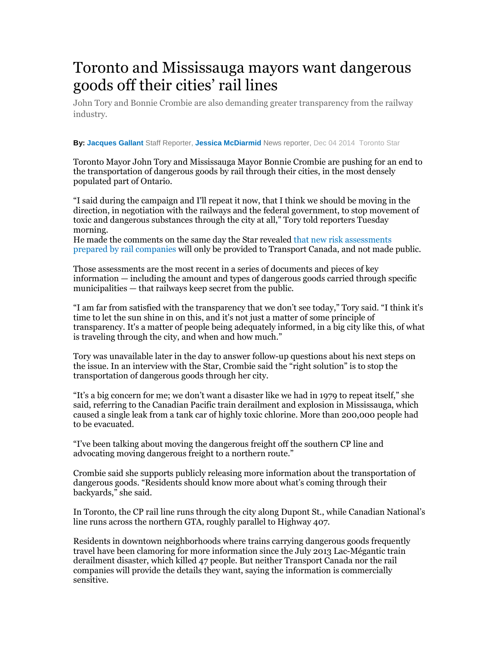## Toronto and Mississauga mayors want dangerous goods off their cities' rail lines

John Tory and Bonnie Crombie are also demanding greater transparency from the railway industry.

## **By: Jacques Gallant** Staff Reporter, **Jessica McDiarmid** News reporter, Dec 04 2014 Toronto Star

Toronto Mayor John Tory and Mississauga Mayor Bonnie Crombie are pushing for an end to the transportation of dangerous goods by rail through their cities, in the most densely populated part of Ontario.

"I said during the campaign and I'll repeat it now, that I think we should be moving in the direction, in negotiation with the railways and the federal government, to stop movement of toxic and dangerous substances through the city at all," Tory told reporters Tuesday morning.

He made the comments on the same day the Star revealed that new risk assessments prepared by rail companies will only be provided to Transport Canada, and not made public.

Those assessments are the most recent in a series of documents and pieces of key information — including the amount and types of dangerous goods carried through specific municipalities — that railways keep secret from the public.

"I am far from satisfied with the transparency that we don't see today," Tory said. "I think it's time to let the sun shine in on this, and it's not just a matter of some principle of transparency. It's a matter of people being adequately informed, in a big city like this, of what is traveling through the city, and when and how much."

Tory was unavailable later in the day to answer follow-up questions about his next steps on the issue. In an interview with the Star, Crombie said the "right solution" is to stop the transportation of dangerous goods through her city.

"It's a big concern for me; we don't want a disaster like we had in 1979 to repeat itself," she said, referring to the Canadian Pacific train derailment and explosion in Mississauga, which caused a single leak from a tank car of highly toxic chlorine. More than 200,000 people had to be evacuated.

"I've been talking about moving the dangerous freight off the southern CP line and advocating moving dangerous freight to a northern route."

Crombie said she supports publicly releasing more information about the transportation of dangerous goods. "Residents should know more about what's coming through their backyards," she said.

In Toronto, the CP rail line runs through the city along Dupont St., while Canadian National's line runs across the northern GTA, roughly parallel to Highway 407.

Residents in downtown neighborhoods where trains carrying dangerous goods frequently travel have been clamoring for more information since the July 2013 Lac-Mégantic train derailment disaster, which killed 47 people. But neither Transport Canada nor the rail companies will provide the details they want, saying the information is commercially sensitive.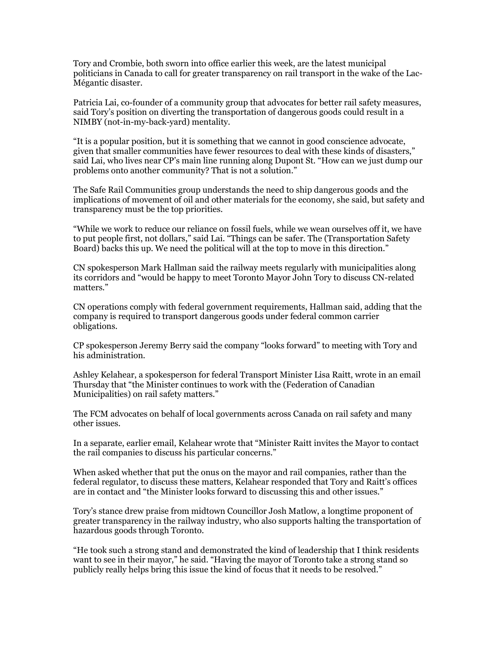Tory and Crombie, both sworn into office earlier this week, are the latest municipal politicians in Canada to call for greater transparency on rail transport in the wake of the Lac-Mégantic disaster.

Patricia Lai, co-founder of a community group that advocates for better rail safety measures, said Tory's position on diverting the transportation of dangerous goods could result in a NIMBY (not-in-my-back-yard) mentality.

"It is a popular position, but it is something that we cannot in good conscience advocate, given that smaller communities have fewer resources to deal with these kinds of disasters," said Lai, who lives near CP's main line running along Dupont St. "How can we just dump our problems onto another community? That is not a solution."

The Safe Rail Communities group understands the need to ship dangerous goods and the implications of movement of oil and other materials for the economy, she said, but safety and transparency must be the top priorities.

"While we work to reduce our reliance on fossil fuels, while we wean ourselves off it, we have to put people first, not dollars," said Lai. "Things can be safer. The (Transportation Safety Board) backs this up. We need the political will at the top to move in this direction."

CN spokesperson Mark Hallman said the railway meets regularly with municipalities along its corridors and "would be happy to meet Toronto Mayor John Tory to discuss CN-related matters."

CN operations comply with federal government requirements, Hallman said, adding that the company is required to transport dangerous goods under federal common carrier obligations.

CP spokesperson Jeremy Berry said the company "looks forward" to meeting with Tory and his administration.

Ashley Kelahear, a spokesperson for federal Transport Minister Lisa Raitt, wrote in an email Thursday that "the Minister continues to work with the (Federation of Canadian Municipalities) on rail safety matters."

The FCM advocates on behalf of local governments across Canada on rail safety and many other issues.

In a separate, earlier email, Kelahear wrote that "Minister Raitt invites the Mayor to contact the rail companies to discuss his particular concerns."

When asked whether that put the onus on the mayor and rail companies, rather than the federal regulator, to discuss these matters, Kelahear responded that Tory and Raitt's offices are in contact and "the Minister looks forward to discussing this and other issues."

Tory's stance drew praise from midtown Councillor Josh Matlow, a longtime proponent of greater transparency in the railway industry, who also supports halting the transportation of hazardous goods through Toronto.

"He took such a strong stand and demonstrated the kind of leadership that I think residents want to see in their mayor," he said. "Having the mayor of Toronto take a strong stand so publicly really helps bring this issue the kind of focus that it needs to be resolved."